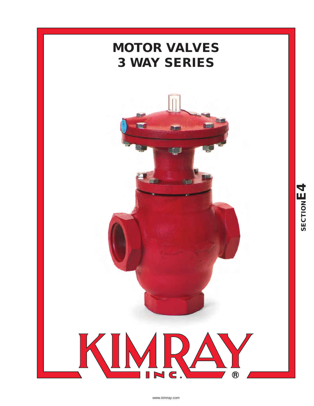

*www.kimray.com*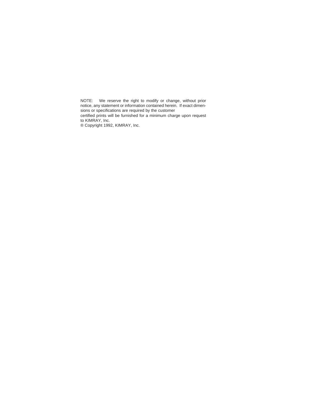NOTE: We reserve the right to modify or change, without prior notice, any statement or information contained herein. If exact dimensions or specifications are required by the customer certified prints will be furnished for a minimum charge upon request to KIMRAY, Inc.

® Copyright 1992, KIMRAY, Inc.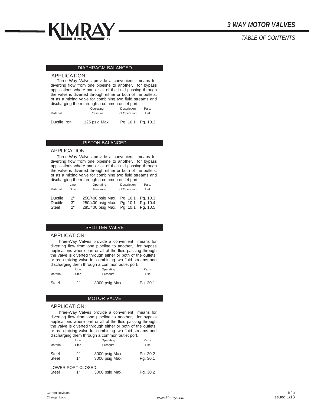

## *TABLE OF CONTENTS*

#### DIAPHRAGM BALANCED

#### APPLICATION:

Three-Way Valves provide a convenient means for diverting flow from one pipeline to another, for bypass applications where part or all of the fluid passing through the valve is diverted through either or both of the outlets, or as a mixing valve for combining two fluid streams and discharging them through a common outlet port.

| Material     | Operating     | Description  | Parts    |
|--------------|---------------|--------------|----------|
|              | Pressure      | of Operation | List     |
| Ductile Iron | 125 psig Max. | Pa. 10.1     | Pg. 10.2 |

#### PISTON BALANCED

#### APPLICATION:

Three-Way Valves provide a convenient means for diverting flow from one pipeline to another, for bypass applications where part or all of the fluid passing through the valve is diverted through either or both of the outlets, or as a mixing valve for combining two fluid streams and discharging them through a common outlet port.

| Material       | Line | Operating         | Description  | Parts    |
|----------------|------|-------------------|--------------|----------|
|                | Size | Pressure          | of Operation | List     |
| <b>Ductile</b> | 2"   | 250/400 psig Max. | Pg. 10.1     | Pa. 10.3 |
| Ductile        | 3"   | 250/400 psig Max. | Pg. 10.1     | Pa. 10.4 |
| <b>Steel</b>   | 2"   | 285/400 psig Max. | Pg. 10.1     | Pg. 10.5 |

#### SPLITTER VALVE

#### APPLICATION:

Three-Way Valves provide a convenient means for diverting flow from one pipeline to another, for bypass applications where part or all of the fluid passing through the valve is diverted through either or both of the outlets, or as a mixing valve for combining two fluid streams and discharging them through a common outlet port.

|          | Line        | Operating      | Parts    |
|----------|-------------|----------------|----------|
| Material | <b>Size</b> | Pressure       | List     |
| Steel    | 2"          | 3000 psig Max. | Pg. 20.1 |

#### MOTOR VALVE

#### APPLICATION:

Three-Way Valves provide a convenient means for diverting flow from one pipeline to another, for bypass applications where part or all of the fluid passing through the valve is diverted through either or both of the outlets, or as a mixing valve for combining two fluid streams and discharging them through a common outlet port.

|                       | Line                | Operating                        | Parts                |
|-----------------------|---------------------|----------------------------------|----------------------|
| Material              | Size                | Pressure                         | List                 |
| Steel<br><b>Steel</b> | 2"<br>1"            | 3000 psig Max.<br>3000 psig Max. | Pg. 20.2<br>Pg. 30.1 |
|                       | I OWER PORT CLOSED. |                                  |                      |

|       | LOWER PORT CLOSED: |                |          |
|-------|--------------------|----------------|----------|
| Steel |                    | 3000 psig Max. | Pg. 30.2 |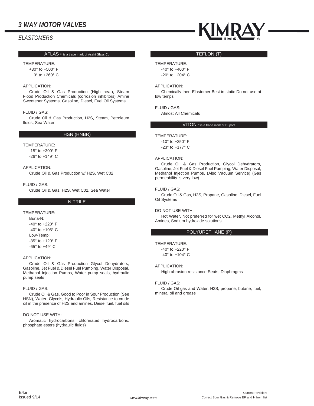# *ELASTOMERS*

#### AFLAS  $\overline{\circ}$  is a trade mark of Asahi Glass Co

#### TEMPERATURE:

+30° to +500° F 0° to +260° C

#### APPLICATION:

Crude Oil & Gas Production (High heat), Steam Flood Production Chemicals (corrosion inhibitors) Amine Sweetener Systems, Gasoline, Diesel, Fuel Oil Systems

#### FLUID / GAS:

Crude Oil & Gas Production, H2S, Steam, Petroleum fluids, Sea Water

### HSN (HNBR)

TEMPERATURE:

-15° to +300° F

-26° to +149° C

#### APPLICATION:

Crude Oil & Gas Production w/ H2S, Wet C02

FLUID / GAS:

Crude Oil & Gas, H2S, Wet C02, Sea Water

#### NITRILE

#### TEMPERATURE:

Buna-N: -40° to +220° F  $-40^\circ$  to  $+105^\circ$  C Low-Temp: -85° to +120° F -65° to +49° C

#### APPLICATION:

Crude Oil & Gas Production Glycol Dehydrators, Gasoline, Jet Fuel & Diesel Fuel Pumping, Water Disposal, Methanol Injection Pumps, Water pump seals, hydraulic pump seals

#### FLUID / GAS:

Crude Oil & Gas, Good to Poor in Sour Production (See HSN), Water, Glycols, Hydraulic Oils, Resistance to crude oil in the presence of H2S and amines, Diesel fuel, fuel oils

#### DO NOT USE WITH:

Aromatic hydrocarbons, chlorinated hydrocarbons, phosphate esters (hydraulic fluids)



#### TEFLON (T)

#### TEMPERATURE:

-40° to +400° F -20° to +204° C

#### APPLICATION:

Chemically Inert Elastomer Best in static Do not use at low temps

### FLUID / GAS:

Almost All Chemicals

### VITON ® is a trade mark of Dupont

## TEMPERATURE:

-10° to +350° F -23° to +177° C

#### APPLICATION:

Crude Oil & Gas Production, Glycol Dehydrators, Gasoline, Jet Fuel & Diesel Fuel Pumping, Water Disposal, Methanol Injection Pumps. (Also Vacuum Service) (Gas permeability is very low)

#### FLUID / GAS:

Crude Oil & Gas, H2S, Propane, Gasoline, Diesel, Fuel Oil Systems

#### DO NOT USE WITH:

Hot Water, Not preferred for wet CO2, Methyl Alcohol, Amines, Sodium hydroxide solutions

#### POLYURETHANE (P)

#### TEMPERATURE:

-40° to +220° F -40° to +104° C

#### APPLICATION:

High abrasion resistance Seats, Diaphragms

#### FLUID / GAS:

Crude Oil gas and Water, H2S, propane, butane, fuel, mineral oil and grease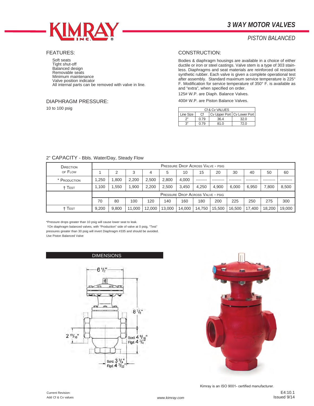

# *PISTON BALANCED*

### FEATURES:

Soft seats Tight shut-off Balanced design Removable seats Minimum maintenance Valve position indicator All internal parts can be removed with valve in line.

### DIAPHRAGM PRESSURE:

10 to 100 psig

### CONSTRUCTION:

Bodies & diaphragm housings are available in a choice of either ductile or iron or steel castings. Valve stem is a type of 303 stainless. Diaphragms and seat materials are reinforced oil resistant synthetic rubber. Each valve is given a complete operational test after assembly. Standard maximum service temperature is 225° F. Modification for service temperature of 350° F. is available as and "extra", when specified on order.

125# W.P. are Diaph. Balance Valves.

400# W.P. are Piston Balance Valves.

| Cf & Cv VALUES |      |                               |      |  |  |  |
|----------------|------|-------------------------------|------|--|--|--|
| Line Size      | Сf   | Cv Upper Port   Cv Lower Port |      |  |  |  |
| ייר            | 0.79 | 36.4                          | 32.0 |  |  |  |
| اا 2           | 0.79 | 81.0                          | 72.0 |  |  |  |

## 2" CAPACITY - Bbls. Water/Day, Steady Flow

| DIRECTION<br>OF FLOW          |       | <b>PRESSURE DROP ACROSS VALVE - PSIG</b> |        |        |        |        |        |        |        |        |        |        |
|-------------------------------|-------|------------------------------------------|--------|--------|--------|--------|--------|--------|--------|--------|--------|--------|
|                               |       |                                          | 3      | 4      | 5      | 10     | 15     | 20     | 30     | 40     | 50     | 60     |
| * PRODUCTION                  | 1.250 | .800                                     | 2.200  | 2,500  | 2.800  | 4.000  |        |        |        |        |        |        |
| <sup>+</sup> T <sub>EST</sub> | 1.100 | .550                                     | 1.900  | 2.200  | 2.500  | 3.450  | 4.250  | 4,900  | 6.000  | 6,950  | 7,800  | 8,500  |
|                               |       | <b>PRESSURE DROP ACROSS VALVE - PSIG</b> |        |        |        |        |        |        |        |        |        |        |
|                               | 70    | 80                                       | 100    | 120    | 140    | 160    | 180    | 200    | 225    | 250    | 275    | 300    |
| † Test                        | 9.200 | 9.800                                    | 11.000 | 12.000 | 13.000 | 14.000 | 14.750 | 15.500 | 16.500 | 17.400 | 18.200 | 19.000 |

\*Pressure drops greater than 10 psig will cause lower seat to leak.

 †On diaphragm balanced valves, with "Production" side of valve at 0 psig, "Test" pressures greater than 30 psig will invert Diaphragm #335 and should be avoided. Use Piston Balanced Valve

DIMENSIONS



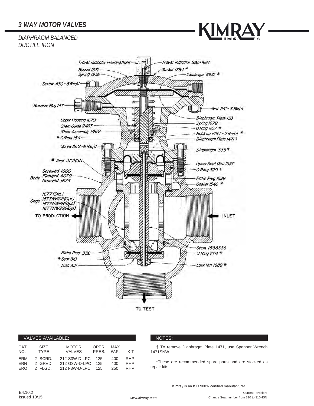KIMRAY

*DIAPHRAGM BALANCED DUCTILE IRON*



|             | VALVES AVAILABLE:   |                        |                |             |            |
|-------------|---------------------|------------------------|----------------|-------------|------------|
| CAT.<br>NO. | SIZE<br><b>TYPF</b> | <b>MOTOR</b><br>VALVES | OPER.<br>PRFS. | MAX<br>W.P. | KIT        |
| ERM         | 2" SCRD.            | 212 S3W-D-LPC          | 125            | 400         | <b>RHP</b> |
| <b>ERN</b>  | $2"$ GRVD.          | 212 G3W-D-LPC          | 125            | 400         | <b>RHP</b> |
| FRO.        | $2"$ FI GD.         | 212 F3W-D-LPC          | 125            | 250         | <b>RHP</b> |

### **VALUE AVAILABLE INCOTES:**

† To remove Diaphragm Plate 1471, use Spanner Wrench 1471SNW.

\*These are recommended spare parts and are stocked as repair kits.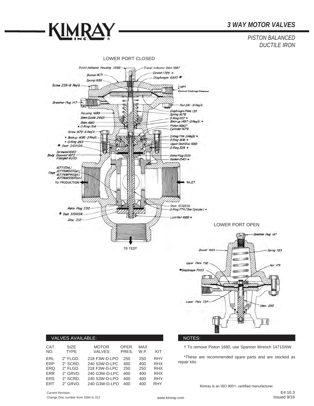*PISTON BALANCED DUCTILE IRON*



|             | VALVES AVAILABLE:          |                               |                |                    |            |
|-------------|----------------------------|-------------------------------|----------------|--------------------|------------|
| CAT.<br>NO. | <b>SIZE</b><br><b>TYPE</b> | <b>MOTOR</b><br><b>VALVES</b> | OPER.<br>PRES. | <b>MAX</b><br>W.P. | KIT        |
| ERL         | 2" FLGD.                   | 218 F3W-D-LPO                 | 250            | 250                | <b>RHY</b> |
| <b>FRP</b>  | 2" SCRD.                   | 240 S3W-D-LPC                 | 400            | 400                | <b>RHX</b> |
| <b>ERQ</b>  | $2"$ FLGD.                 | 218 F3W-D-LPC                 | 250            | 250                | <b>RHX</b> |
| <b>ERR</b>  | 2" GRVD.                   | 240 G3W-D-LPC                 | 400            | 400                | <b>RHX</b> |
| <b>ERS</b>  | 2" SCRD.                   | 240 S3W-D-LPO                 | 400            | 400                | <b>RHY</b> |
| <b>FRT</b>  | 2" GRVD.                   | 240 G3W-D-LPO                 | 400            | 400                | <b>RHY</b> |
|             |                            |                               |                |                    |            |

#### NOTES:

† To remove Piston 1680, use Spanner Wrench 1471SNW.

\*These are recommended spare parts and are stocked as repair kits.

Kimray is an ISO 9001- certified manufacturer.

**KIMRAY** 

đ,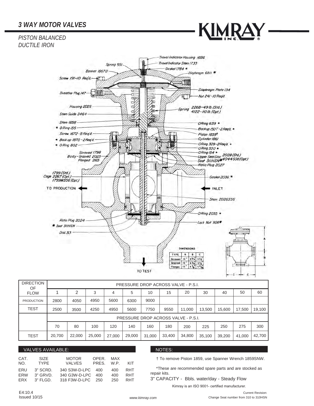# *PISTON BALANCED DUCTILE IRON*



Travel Indicator Housing 1686 Trovel Indicator Stem 1733 Spring 55/ Gosket 1784 \* **Bonnet 18670** Diaphragm 68/1 Screw  $191 - 10$  Reg'd. Diaphragm Plate 134 Œ Breather Plug 147 T L. σ Nut 24/-10 Regid  $\sigma_{\overline{V}}$ þ Юĥ Housing 2025 b σÍ 2268-49 lb. (Std.) Spring 4122-1101b.(Opt.)  $\sigma$ Stem Guide 2464 Stem 1858 ORing 639 \* \* ORing 155 Bockup I50T - 2 Regid. Screw 1672-B Regid. Piston 1859t Cylinder 1861  $\bullet$  Back up 1870 - 2 Regid. ORing 329-2Regid. + • ORing 802-ORing 330 \* Screwed 1798<br>Body-Grooved 2023<br>Flanged 2165 ORing 154 \* -ORing 154 \*<br>-Upper Seat Disc 2028 (Std.)<br>-Seat 311HSN\*4044SS6 (Opt.)<br>-Seat: Plus 2023 Ratio Plug 2027 1799 (Std.)<br>Cage 2267 (Opt.)<br>1799WS56 (Opt.) Gasket 2036.\* **CONTROL** TO PRODUCTION **WLET** Stem 2026556 O Ring 2035 \* Ratio Plug 2024 Lock Nut 906\* \* Seat 31/HSN Disc 3/3 **DIMENSIONS** TYPE A  $\blacksquare$  $\overline{c}$ Screwed 12" 63/4 51/2 Grooved 12" 6 % 5 % TO TEST

| <b>DIRECTION</b><br>OF |        |        |        |        | PRESSURE DROP ACROSS VALVE - P.S.I. |        |        |        |        |        |        |        |
|------------------------|--------|--------|--------|--------|-------------------------------------|--------|--------|--------|--------|--------|--------|--------|
| <b>FLOW</b>            |        | 2      | 3      | 4      | 5                                   | 10     | 15     | 20     | 30     | 40     | 50     | 60     |
| <b>PRODUCTION</b>      | 2800   | 4050   | 4950   | 5600   | 6300                                | 9000   |        |        |        |        |        |        |
| <b>TEST</b>            | 2500   | 3500   | 4250   | 4950   | 5600                                | 7750   | 9550   | 11.000 | 13,500 | 15,600 | 17,500 | 19.100 |
|                        |        |        |        |        | PRESSURE DROP ACROSS VALVE - P.S.I. |        |        |        |        |        |        |        |
|                        | 70     | 80     | 100    | 120    | 140                                 | 160    | 180    | 200    | 225    | 250    | 275    | 300    |
| <b>TEST</b>            | 20.700 | 22,000 | 25,000 | 27,000 | 29,000                              | 31,000 | 33,400 | 34,800 | 35,100 | 39,200 | 41,000 | 42,700 |

### VALVES AVAILABLE: NOTES: NOTES: NOTES: NOTES: NOTES: NOTES: NOTES: NOTES: NOTES: NOTES: NOTES: NOTES: NOTES: NOTES: NOTES: NOTES: NOTES: NOTES: NOTES: NOTES: NOTES: NOTES: NOTES: NOTES: NOTES: NOTES: NOTES: NOTES: NOTES: N

| CAT.       | <b>SIZE</b> | <b>MOTOR</b>  | OPER. | MAX  | KIT |
|------------|-------------|---------------|-------|------|-----|
| NO.        | <b>TYPF</b> | <b>VALVES</b> | PRES. | W.P. |     |
| ERU        | 3" SCRD.    | 340 S3W-D-LPC | 400   | 400  | RHT |
| <b>FRW</b> | 3" GRVD.    | 340 G3W-D-LPC | 400   | 400  | RHT |
| <b>FRX</b> | $3"$ FI GD. | 318 F3W-D-LPC | 250   | 250  | RHT |

† To remove Piston 1859, use Spanner Wrench 1859SNW.

\*These are recommended spare parts and are stocked as repair kits.

3" CAPACITY - Bbls. water/day - Steady Flow

Kimray is an ISO 9001- certified manufacturer.

ċ

c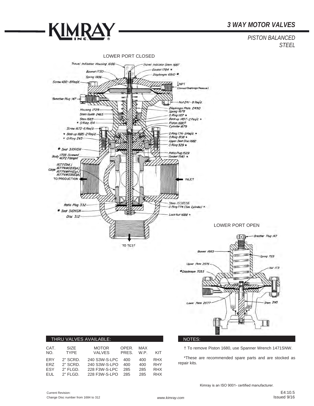





|             |                     | THRU VALVES AVAILABLE:        |                |             |            |
|-------------|---------------------|-------------------------------|----------------|-------------|------------|
| CAT.<br>NO. | SIZF<br><b>TYPE</b> | <b>MOTOR</b><br><b>VALVES</b> | OPER.<br>PRES. | MAX<br>W.P. | KIT        |
| <b>FRY</b>  | 2" SCRD.            | 240 S3W-S-LPC                 | 400            | 400         | <b>RHX</b> |
| FR7         | 2" SCRD.            | 240 S3W-S-LPO                 | 400            | 400         | <b>RHY</b> |
| <b>FSY</b>  | $2"$ FLGD.          | 228 F3W-S-LPC                 | 285            | 285         | <b>RHX</b> |
| <b>EUL</b>  | $2"$ FI GD.         | 228 F3W-S-LPO                 | 285            | 285         | <b>RHX</b> |

### NOTES:

† To remove Piston 1680, use Spanner Wrench 1471SNW.

\*These are recommended spare parts and are stocked as repair kits.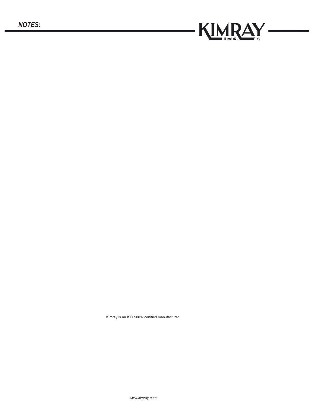

 $\overline{\phantom{0}}$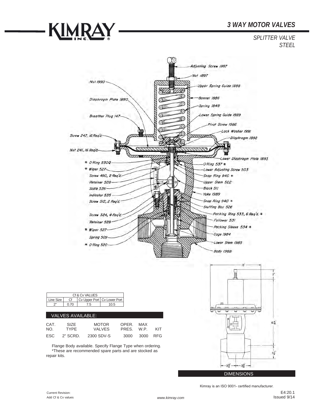



Current Revision: Add Cf & Cv values

**KIMRAY** 

*www.kimray.com*

E4:20.1 Issued 9/14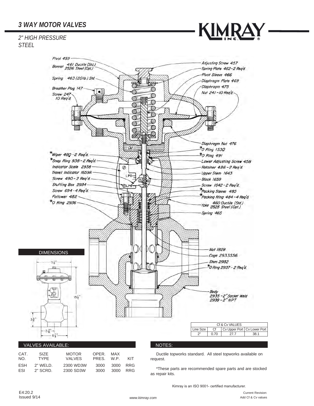*2" HIGH PRESSURE STEEL*





|          | Ductile topworks standard. All steel topworks available on |
|----------|------------------------------------------------------------|
| request. |                                                            |

\*These parts are recommended spare parts and are stocked as repair kits.

Kimray is an ISO 9001- certified manufacturer.

VALVES PRES. W.P. KIT

ESH 2" WELD. 2300 WD3W 3000 3000 RRG

ESI 2" SCRD. 2300 SD3W

Current Revision: Add Cf & Cv values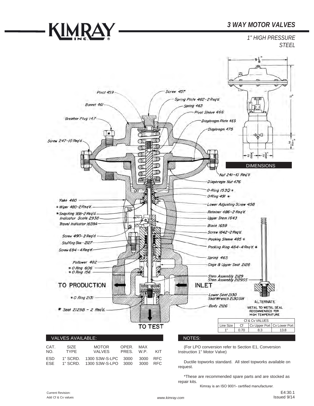*1" HIGH PRESSURE STEEL*



| CAT.<br>NO.              | SIZE.<br>TYPF | <b>MOTOR</b><br><b>VALVES</b>                                               | OPFR.<br>PRES. W.P. | MAX      | KIT |
|--------------------------|---------------|-----------------------------------------------------------------------------|---------------------|----------|-----|
| <b>FSD</b><br><b>FSF</b> |               | 1" SCRD.  1300 S3W-S-LPC  3000  3000  RFC<br>1" SCRD.  1300 S3W-S-LPO  3000 |                     | 3000 RFC |     |

**KIMRAY** 

(For LPO conversion refer to Section E1, Conversion Instruction 1" Motor Valve)

Ductile topworks standard. All steel topworks available on request.

\*These are recommended spare parts and are stocked as repair kits.